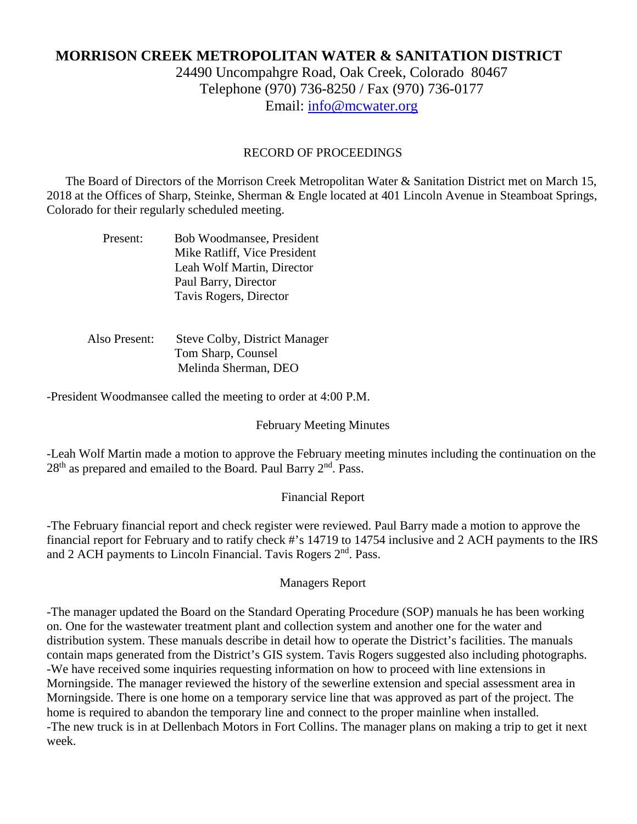# **MORRISON CREEK METROPOLITAN WATER & SANITATION DISTRICT**

24490 Uncompahgre Road, Oak Creek, Colorado 80467 Telephone (970) 736-8250 / Fax (970) 736-0177 Email: [info@mcwater.org](mailto:info@mcwater.org)

#### RECORD OF PROCEEDINGS

 The Board of Directors of the Morrison Creek Metropolitan Water & Sanitation District met on March 15, 2018 at the Offices of Sharp, Steinke, Sherman & Engle located at 401 Lincoln Avenue in Steamboat Springs, Colorado for their regularly scheduled meeting.

| Present: | Bob Woodmansee, President    |
|----------|------------------------------|
|          | Mike Ratliff, Vice President |
|          | Leah Wolf Martin, Director   |
|          | Paul Barry, Director         |
|          | Tavis Rogers, Director       |

 Also Present: Steve Colby, District Manager Tom Sharp, Counsel Melinda Sherman, DEO

-President Woodmansee called the meeting to order at 4:00 P.M.

#### February Meeting Minutes

-Leah Wolf Martin made a motion to approve the February meeting minutes including the continuation on the 28<sup>th</sup> as prepared and emailed to the Board. Paul Barry 2<sup>nd</sup>. Pass.

#### Financial Report

-The February financial report and check register were reviewed. Paul Barry made a motion to approve the financial report for February and to ratify check #'s 14719 to 14754 inclusive and 2 ACH payments to the IRS and 2 ACH payments to Lincoln Financial. Tavis Rogers 2<sup>nd</sup>. Pass.

#### Managers Report

-The manager updated the Board on the Standard Operating Procedure (SOP) manuals he has been working on. One for the wastewater treatment plant and collection system and another one for the water and distribution system. These manuals describe in detail how to operate the District's facilities. The manuals contain maps generated from the District's GIS system. Tavis Rogers suggested also including photographs. -We have received some inquiries requesting information on how to proceed with line extensions in Morningside. The manager reviewed the history of the sewerline extension and special assessment area in Morningside. There is one home on a temporary service line that was approved as part of the project. The home is required to abandon the temporary line and connect to the proper mainline when installed. -The new truck is in at Dellenbach Motors in Fort Collins. The manager plans on making a trip to get it next week.